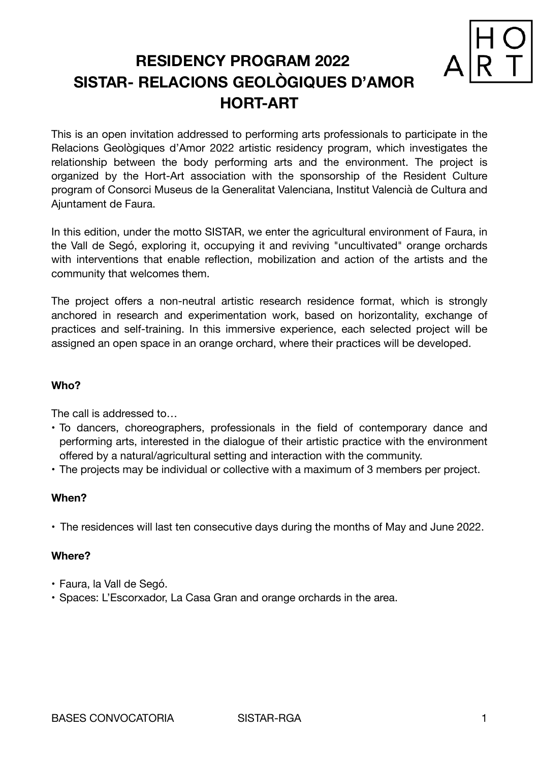# **RESIDENCY PROGRAM 2022 SISTAR- RELACIONS GEOLÒGIQUES D'AMOR HORT-ART**



This is an open invitation addressed to performing arts professionals to participate in the Relacions Geològiques d'Amor 2022 artistic residency program, which investigates the relationship between the body performing arts and the environment. The project is organized by the Hort-Art association with the sponsorship of the Resident Culture program of Consorci Museus de la Generalitat Valenciana, Institut Valencià de Cultura and Ajuntament de Faura.

In this edition, under the motto SISTAR, we enter the agricultural environment of Faura, in the Vall de Segó, exploring it, occupying it and reviving "uncultivated" orange orchards with interventions that enable reflection, mobilization and action of the artists and the community that welcomes them.

The project offers a non-neutral artistic research residence format, which is strongly anchored in research and experimentation work, based on horizontality, exchange of practices and self-training. In this immersive experience, each selected project will be assigned an open space in an orange orchard, where their practices will be developed.

## **Who?**

The call is addressed to…

- To dancers, choreographers, professionals in the field of contemporary dance and performing arts, interested in the dialogue of their artistic practice with the environment offered by a natural/agricultural setting and interaction with the community.
- The projects may be individual or collective with a maximum of 3 members per project.

## **When?**

• The residences will last ten consecutive days during the months of May and June 2022.

## **Where?**

- Faura, la Vall de Segó.
- Spaces: L'Escorxador, La Casa Gran and orange orchards in the area.